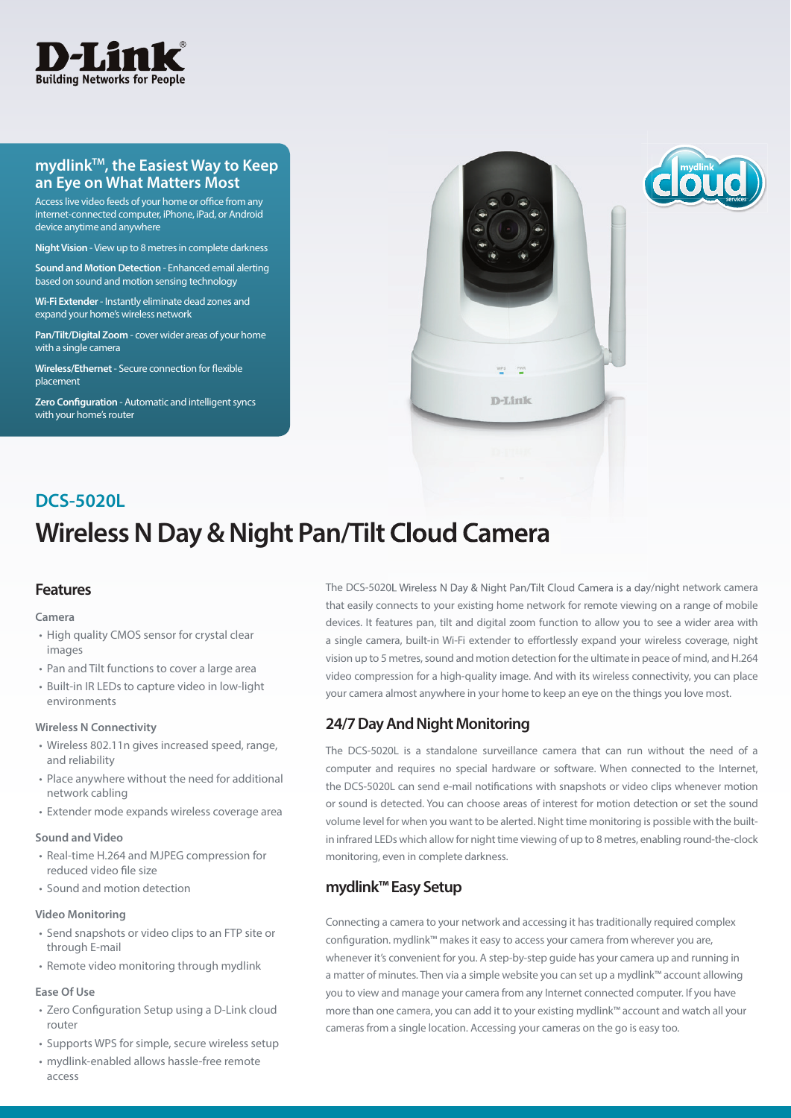

#### **mydlinkTM, the Easiest Way to Keep an Eye on What Matters Most**

Access live video feeds of your home or office from any internet-connected computer, iPhone, iPad, or Android device anytime and anywhere

**Night Vision** - View up to 8 metres in complete darkness

**Sound and Motion Detection** - Enhanced email alerting based on sound and motion sensing technology

**Wi-Fi Extender** - Instantly eliminate dead zones and expand your home's wireless network

**Pan/Tilt/Digital Zoom** - cover wider areas of your home with a single camera

**Wireless/Ethernet** - Secure connection for flexible placement

**Zero Configuration - Automatic and intelligent syncs** with your home's router



# **Wireless N Day & Night Pan/Tilt Cloud Camera DCS-5020L**

#### **Features**

#### **Camera**

- High quality CMOS sensor for crystal clear images
- Pan and Tilt functions to cover a large area
- Built-in IR LEDs to capture video in low-light environments

#### **Wireless N Connectivity**

- Wireless 802.11n gives increased speed, range, and reliability
- Place anywhere without the need for additional network cabling
- Extender mode expands wireless coverage area

#### **Sound and Video**

- Real-time H.264 and MJPEG compression for reduced video file size
- Sound and motion detection

#### **Video Monitoring**

- Send snapshots or video clips to an FTP site or through E-mail
- Remote video monitoring through mydlink

#### **Ease Of Use**

- Zero Configuration Setup using a D-Link cloud router
- Supports WPS for simple, secure wireless setup
- mydlink-enabled allows hassle-free remote access

The DCS-5020L Wireless N Day & Night Pan/Tilt Cloud Camera is a day/night network camera that easily connects to your existing home network for remote viewing on a range of mobile devices. It features pan, tilt and digital zoom function to allow you to see a wider area with a single camera, built-in Wi-Fi extender to effortlessly expand your wireless coverage, night vision up to 5 metres, sound and motion detection for the ultimate in peace of mind, and H.264 video compression for a high-quality image. And with its wireless connectivity, you can place your camera almost anywhere in your home to keep an eye on the things you love most.

#### **24/7 Day And Night Monitoring**

The DCS-5020L is a standalone surveillance camera that can run without the need of a computer and requires no special hardware or software. When connected to the Internet, the DCS-5020L can send e-mail notifications with snapshots or video clips whenever motion or sound is detected. You can choose areas of interest for motion detection or set the sound volume level for when you want to be alerted. Night time monitoring is possible with the builtin infrared LEDs which allow for night time viewing of up to 8 metres, enabling round-the-clock monitoring, even in complete darkness.

#### **mydlink™ Easy Setup**

Connecting a camera to your network and accessing it has traditionally required complex configuration. mydlink™ makes it easy to access your camera from wherever you are, whenever it's convenient for you. A step-by-step guide has your camera up and running in a matter of minutes. Then via a simple website you can set up a mydlink™ account allowing you to view and manage your camera from any Internet connected computer. If you have more than one camera, you can add it to your existing mydlink™ account and watch all your cameras from a single location. Accessing your cameras on the go is easy too.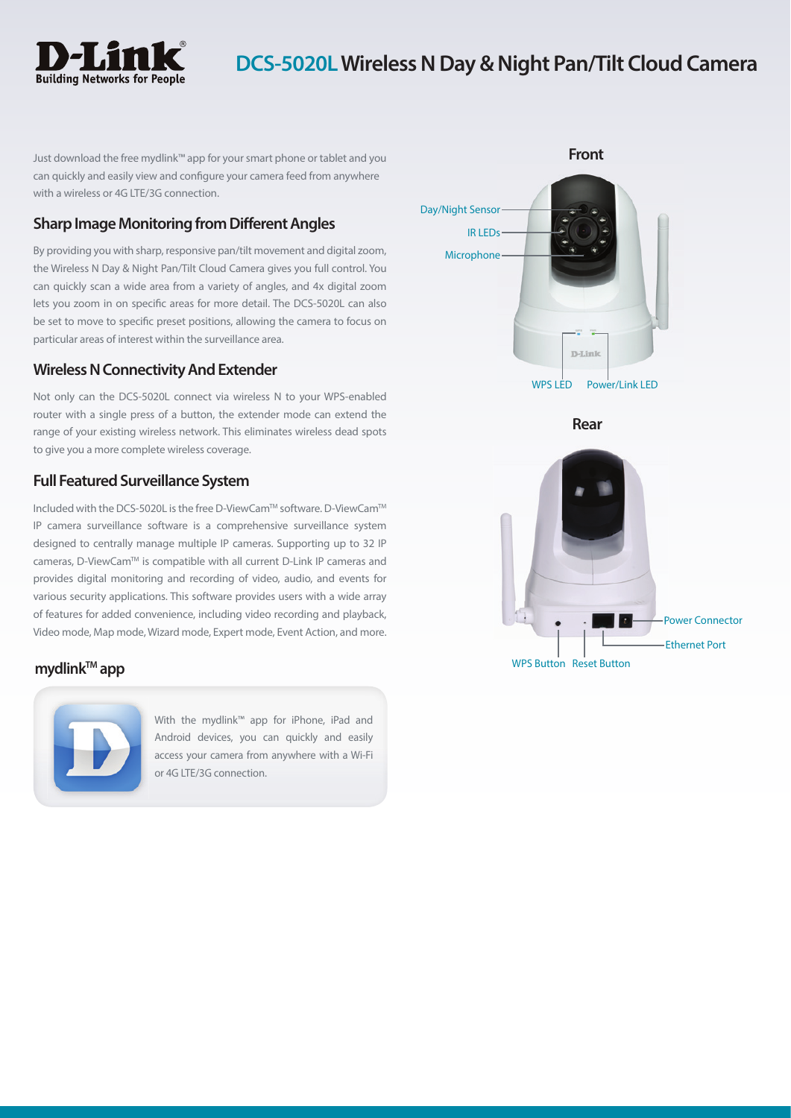

## **DCS-5020L Wireless N Day & Night Pan/Tilt Cloud Camera**

Just download the free mydlink™ app for your smart phone or tablet and you can quickly and easily view and configure your camera feed from anywhere with a wireless or 4G LTE/3G connection.

#### **Sharp Image Monitoring from Different Angles**

By providing you with sharp, responsive pan/tilt movement and digital zoom, the Wireless N Day & Night Pan/Tilt Cloud Camera gives you full control. You can quickly scan a wide area from a variety of angles, and 4x digital zoom lets you zoom in on specific areas for more detail. The DCS-5020L can also be set to move to specific preset positions, allowing the camera to focus on particular areas of interest within the surveillance area.

#### **Wireless N Connectivity And Extender**

Not only can the DCS-5020L connect via wireless N to your WPS-enabled router with a single press of a button, the extender mode can extend the range of your existing wireless network. This eliminates wireless dead spots to give you a more complete wireless coverage.

#### **Full Featured Surveillance System**

Included with the DCS-5020L is the free D-ViewCamTM software. D-ViewCamTM IP camera surveillance software is a comprehensive surveillance system designed to centrally manage multiple IP cameras. Supporting up to 32 IP cameras, D-ViewCamTM is compatible with all current D-Link IP cameras and provides digital monitoring and recording of video, audio, and events for various security applications. This software provides users with a wide array of features for added convenience, including video recording and playback, Video mode, Map mode, Wizard mode, Expert mode, Event Action, and more.



With the mydlink™ app for iPhone, iPad and Android devices, you can quickly and easily access your camera from anywhere with a Wi-Fi or 4G LTE/3G connection.



**Rear**

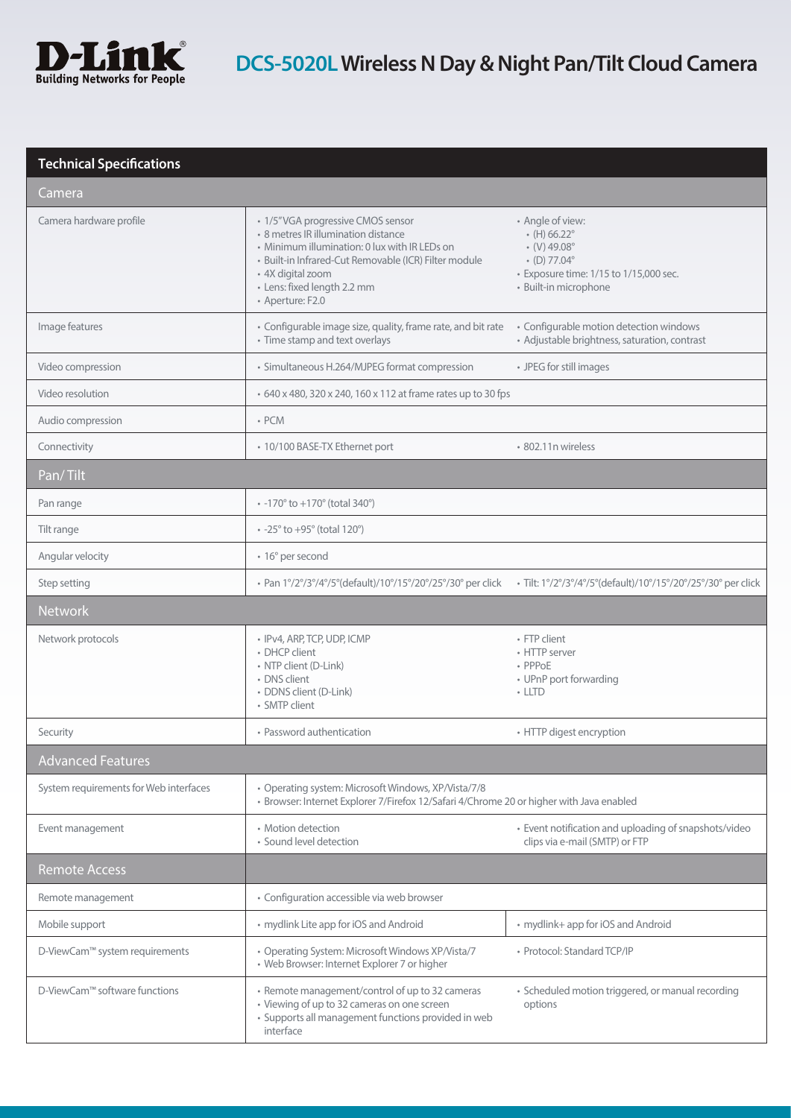

### **Technical Specifications**

| Camera                                 |                                                                                                                                                                                                                                                            |                                                                                                                                                                            |  |
|----------------------------------------|------------------------------------------------------------------------------------------------------------------------------------------------------------------------------------------------------------------------------------------------------------|----------------------------------------------------------------------------------------------------------------------------------------------------------------------------|--|
| Camera hardware profile                | • 1/5"VGA progressive CMOS sensor<br>• 8 metres IR illumination distance<br>• Minimum illumination: 0 lux with IR LEDs on<br>· Built-in Infrared-Cut Removable (ICR) Filter module<br>• 4X digital zoom<br>· Lens: fixed length 2.2 mm<br>• Aperture: F2.0 | • Angle of view:<br>$\cdot$ (H) 66.22 $^{\circ}$<br>$\cdot$ (V) 49.08 $^{\circ}$<br>$(D) 77.04^{\circ}$<br>• Exposure time: 1/15 to 1/15,000 sec.<br>· Built-in microphone |  |
| Image features                         | • Configurable image size, quality, frame rate, and bit rate<br>• Time stamp and text overlays                                                                                                                                                             | • Configurable motion detection windows<br>• Adjustable brightness, saturation, contrast                                                                                   |  |
| Video compression                      | • Simultaneous H.264/MJPEG format compression                                                                                                                                                                                                              | • JPEG for still images                                                                                                                                                    |  |
| Video resolution                       | • 640 x 480, 320 x 240, 160 x 112 at frame rates up to 30 fps                                                                                                                                                                                              |                                                                                                                                                                            |  |
| Audio compression                      | $\cdot$ PCM                                                                                                                                                                                                                                                |                                                                                                                                                                            |  |
| Connectivity                           | • 10/100 BASE-TX Ethernet port                                                                                                                                                                                                                             | • 802.11n wireless                                                                                                                                                         |  |
| Pan/Tilt                               |                                                                                                                                                                                                                                                            |                                                                                                                                                                            |  |
| Pan range                              | $\cdot$ -170 $\degree$ to +170 $\degree$ (total 340 $\degree$ )                                                                                                                                                                                            |                                                                                                                                                                            |  |
| Tilt range                             | $\cdot$ -25 $\degree$ to +95 $\degree$ (total 120 $\degree$ )                                                                                                                                                                                              |                                                                                                                                                                            |  |
| Angular velocity                       | • 16° per second                                                                                                                                                                                                                                           |                                                                                                                                                                            |  |
| Step setting                           | • Pan 1°/2°/3°/4°/5°(default)/10°/15°/20°/25°/30° per click                                                                                                                                                                                                | · Tilt: 1°/2°/3°/4°/5°(default)/10°/15°/20°/25°/30° per click                                                                                                              |  |
| <b>Network</b>                         |                                                                                                                                                                                                                                                            |                                                                                                                                                                            |  |
| Network protocols                      | • IPv4, ARP, TCP, UDP, ICMP<br>• DHCP client<br>• NTP client (D-Link)<br>• DNS client<br>· DDNS client (D-Link)<br>• SMTP client                                                                                                                           | • FTP client<br>• HTTP server<br>• PPPoE<br>• UPnP port forwarding<br>$\cdot$ LLTD                                                                                         |  |
| Security                               | • Password authentication                                                                                                                                                                                                                                  | • HTTP digest encryption                                                                                                                                                   |  |
| <b>Advanced Features</b>               |                                                                                                                                                                                                                                                            |                                                                                                                                                                            |  |
| System requirements for Web interfaces | • Operating system: Microsoft Windows, XP/Vista/7/8<br>• Browser: Internet Explorer 7/Firefox 12/Safari 4/Chrome 20 or higher with Java enabled                                                                                                            |                                                                                                                                                                            |  |
| Event management                       | • Motion detection<br>· Sound level detection                                                                                                                                                                                                              | • Event notification and uploading of snapshots/video<br>clips via e-mail (SMTP) or FTP                                                                                    |  |
| <b>Remote Access</b>                   |                                                                                                                                                                                                                                                            |                                                                                                                                                                            |  |
| Remote management                      | • Configuration accessible via web browser                                                                                                                                                                                                                 |                                                                                                                                                                            |  |
| Mobile support                         | • mydlink Lite app for iOS and Android                                                                                                                                                                                                                     | • mydlink+ app for iOS and Android                                                                                                                                         |  |
| D-ViewCam™ system requirements         | • Operating System: Microsoft Windows XP/Vista/7<br>• Web Browser: Internet Explorer 7 or higher                                                                                                                                                           | · Protocol: Standard TCP/IP                                                                                                                                                |  |
| D-ViewCam™ software functions          | • Remote management/control of up to 32 cameras<br>• Viewing of up to 32 cameras on one screen<br>· Supports all management functions provided in web<br>interface                                                                                         | · Scheduled motion triggered, or manual recording<br>options                                                                                                               |  |